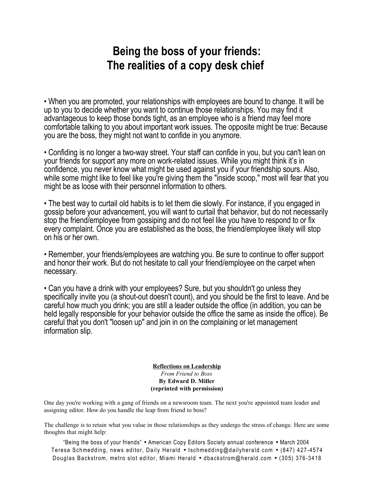## **Being the boss of your friends: The realities of a copy desk chief**

• When you are promoted, your relationships with employees are bound to change. It will be up to you to decide whether you want to continue those relationships. You may find it advantageous to keep those bonds tight, as an employee who is a friend may feel more comfortable talking to you about important work issues. The opposite might be true: Because you are the boss, they might not want to confide in you anymore.

• Confiding is no longer a two-way street. Your staff can confide in you, but you can't lean on your friends for support any more on work-related issues. While you might think it's in confidence, you never know what might be used against you if your friendship sours. Also, while some might like to feel like you're giving them the "inside scoop," most will fear that you might be as loose with their personnel information to others.

• The best way to curtail old habits is to let them die slowly. For instance, if you engaged in gossip before your advancement, you will want to curtail that behavior, but do not necessarily stop the friend/employee from gossiping and do not feel like you have to respond to or fix every complaint. Once you are established as the boss, the friend/employee likely will stop on his or her own.

• Remember, your friends/employees are watching you. Be sure to continue to offer support and honor their work. But do not hesitate to call your friend/employee on the carpet when necessary.

• Can you have a drink with your employees? Sure, but you shouldn't go unless they specifically invite you (a shout-out doesn't count), and you should be the first to leave. And be careful how much you drink; you are still a leader outside the office (in addition, you can be held legally responsible for your behavior outside the office the same as inside the office). Be careful that you don't "loosen up" and join in on the complaining or let management information slip.

> **Reflections on Leadership** *From Friend to Boss* **By Edward D. Miller (reprinted with permission)**

One day you're working with a gang of friends on a newsroom team. The next you're appointed team leader and assigning editor. How do you handle the leap from friend to boss?

The challenge is to retain what you value in those relationships as they undergo the stress of change. Here are some thoughts that might help: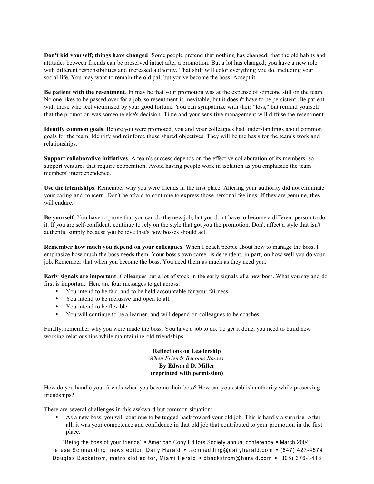**Don't kid yourself; things have changed**. Some people pretend that nothing has changed, that the old habits and attitudes between friends can be preserved intact after a promotion. But a lot has changed; you have a new role with different responsibilities and increased authority. That shift will color everything you do, including your social life. You may want to remain the old pal, but you've become the boss. Accept it.

**Be patient with the resentment**. In may be that your promotion was at the expense of someone still on the team. No one likes to be passed over for a job, so resentment is inevitable, but it doesn't have to be persistent. Be patient with those who feel victimized by your good fortune. You can sympathize with their "loss," but remind yourself that the promotion was someone else's decision. Time and your sensitive management will diffuse the resentment.

**Identify common goals**. Before you were promoted, you and your colleagues had understandings about common goals for the team. Identify and reinforce those shared objectives. They will be the basis for the team's work and relationships.

**Support collaborative initiatives**. A team's success depends on the effective collaboration of its members, so support ventures that require cooperation. Avoid having people work in isolation as you emphasize the team members' interdependence.

**Use the friendships**. Remember why you were friends in the first place. Altering your authority did not eliminate your caring and concern. Don't be afraid to continue to express those personal feelings. If they are genuine, they will endure.

**Be yourself**. You have to prove that you can do the new job, but you don't have to become a different person to do it. If you are self-confident, continue to rely on the style that got you the promotion. Don't affect a style that isn't authentic simply because you believe that's how bosses should act.

**Remember how much you depend on your colleagues**. When I coach people about how to manage the boss, I emphasize how much the boss needs them. Your boss's own career is dependent, in part, on how well you do your job. Remember that when you become the boss. You need them as much as they need you.

**Early signals are important**. Colleagues put a lot of stock in the early signals of a new boss. What you say and do first is important. Here are four messages to get across:

- You intend to be fair, and to be held accountable for your fairness.
- You intend to be inclusive and open to all.
- You intend to be flexible.
- You will continue to be a learner, and will depend on colleagues to be coaches.

Finally, remember why you were made the boss: You have a job to do. To get it done, you need to build new working relationships while maintaining old friendships.

## **Reflections on Leadership** *When Friends Become Bosses* **By Edward D. Miller (reprinted with permission)**

How do you handle your friends when you become their boss? How can you establish authority while preserving friendships?

There are several challenges in this awkward but common situation:

• As a new boss, you will continue to be tugged back toward your old job. This is hardly a surprise. After all, it was your competence and confidence in that old job that contributed to your promotion in the first place.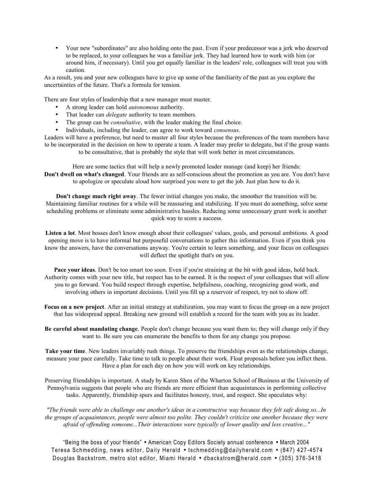• Your new "subordinates" are also holding onto the past. Even if your predecessor was a jerk who deserved to be replaced, to your colleagues he was a familiar jerk. They had learned how to work with him (or around him, if necessary). Until you get equally familiar in the leaders' role, colleagues will treat you with caution.

As a result, you and your new colleagues have to give up some of the familiarity of the past as you explore the uncertainties of the future. That's a formula for tension.

There are four styles of leadership that a new manager must master.

- A strong leader can hold *autonomous* authority.
- That leader can *delegate* authority to team members.
- The group can be *consultative*, with the leader making the final choice.
- Individuals, including the leader, can agree to work toward *consensus*.

Leaders will have a preference, but need to master all four styles because the preferences of the team members have to be incorporated in the decision on how to operate a team. A leader may prefer to delegate, but if the group wants to be consultative, that is probably the style that will work better in most circumstances.

Here are some tactics that will help a newly promoted leader manage (and keep) her friends: **Don't dwell on what's changed**. Your friends are as self-conscious about the promotion as you are. You don't have to apologize or speculate aloud how surprised you were to get the job. Just plan how to do it.

**Don't change much right away**. The fewer initial changes you make, the smoother the transition will be. Maintaining familiar routines for a while will be reassuring and stabilizing. If you must do something, solve some scheduling problems or eliminate some administrative hassles. Reducing some unnecessary grunt work is another quick way to score a success.

**Listen a lot**. Most bosses don't know enough about their colleagues' values, goals, and personal ambitions. A good opening move is to have informal but purposeful conversations to gather this information. Even if you think you know the answers, have the conversations anyway. You're certain to learn something, and your focus on colleagues will deflect the spotlight that's on you.

**Pace your ideas**. Don't be too smart too soon. Even if you're straining at the bit with good ideas, hold back. Authority comes with your new title, but respect has to be earned. It is the respect of your colleagues that will allow you to go forward. You build respect through expertise, helpfulness, coaching, recognizing good work, and involving others in important decisions. Until you fill up a reservoir of respect, try not to show off.

**Focus on a new project**. After an initial strategy at stabilization, you may want to focus the group on a new project that has widespread appeal. Breaking new ground will establish a record for the team with you as its leader.

**Be careful about mandating change**. People don't change because you want them to; they will change only if they want to. Be sure you can enumerate the benefits to them for any change you propose.

**Take your time**. New leaders invariably rush things. To preserve the friendships even as the relationships change, measure your pace carefully. Take time to talk to people about their work. Float proposals before you inflict them. Have a plan for each day on how you will work on key relationships.

Preserving friendships is important. A study by Karen Shen of the Wharton School of Business at the University of Pennsylvania suggests that people who are friends are more efficient than acquaintances in performing collective tasks. Apparently, friendship spurs and facilitates honesty, trust, and respect. She speculates why:

*"The friends were able to challenge one another's ideas in a constructive way because they felt safe doing so...In the groups of acquaintances, people were almost too polite. They couldn't criticize one another because they were afraid of offending someone...Their interactions were typically of lower quality and less creative..."*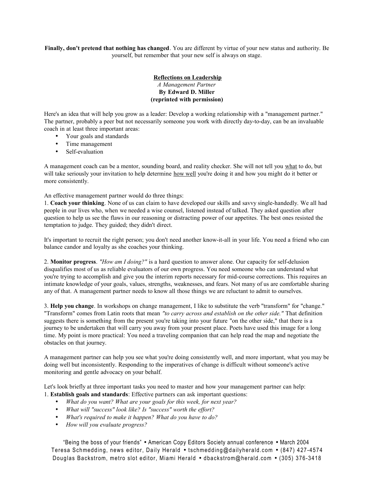**Finally, don't pretend that nothing has changed**. You are different by virtue of your new status and authority. Be yourself, but remember that your new self is always on stage.

## **Reflections on Leadership** *A Management Partner* **By Edward D. Miller (reprinted with permission)**

Here's an idea that will help you grow as a leader: Develop a working relationship with a "management partner." The partner, probably a peer but not necessarily someone you work with directly day-to-day, can be an invaluable coach in at least three important areas:

- Your goals and standards
- Time management
- Self-evaluation

A management coach can be a mentor, sounding board, and reality checker. She will not tell you what to do, but will take seriously your invitation to help determine how well you're doing it and how you might do it better or more consistently.

An effective management partner would do three things:

1. **Coach your thinking**. None of us can claim to have developed our skills and savvy single-handedly. We all had people in our lives who, when we needed a wise counsel, listened instead of talked. They asked question after question to help us see the flaws in our reasoning or distracting power of our appetites. The best ones resisted the temptation to judge. They guided; they didn't direct.

It's important to recruit the right person; you don't need another know-it-all in your life. You need a friend who can balance candor and loyalty as she coaches your thinking.

2. **Monitor progress**. *"How am I doing?"* is a hard question to answer alone. Our capacity for self-delusion disqualifies most of us as reliable evaluators of our own progress. You need someone who can understand what you're trying to accomplish and give you the interim reports necessary for mid-course corrections. This requires an intimate knowledge of your goals, values, strengths, weaknesses, and fears. Not many of us are comfortable sharing any of that. A management partner needs to know all those things we are reluctant to admit to ourselves.

3. **Help you change**. In workshops on change management, I like to substitute the verb "transform" for "change." "Transform" comes from Latin roots that mean *"to carry across and establish on the other side."* That definition suggests there is something from the present you're taking into your future "on the other side," that there is a journey to be undertaken that will carry you away from your present place. Poets have used this image for a long time. My point is more practical: You need a traveling companion that can help read the map and negotiate the obstacles on that journey.

A management partner can help you see what you're doing consistently well, and more important, what you may be doing well but inconsistently. Responding to the imperatives of change is difficult without someone's active monitoring and gentle advocacy on your behalf.

Let's look briefly at three important tasks you need to master and how your management partner can help: 1. **Establish goals and standards**: Effective partners can ask important questions:

- *What do you want? What are your goals for this week, for next year?*
- 
- *What will "success" look like? Is "success" worth the effort?*
- *What's required to make it happen? What do you have to do?*
- *How will you evaluate progress?*